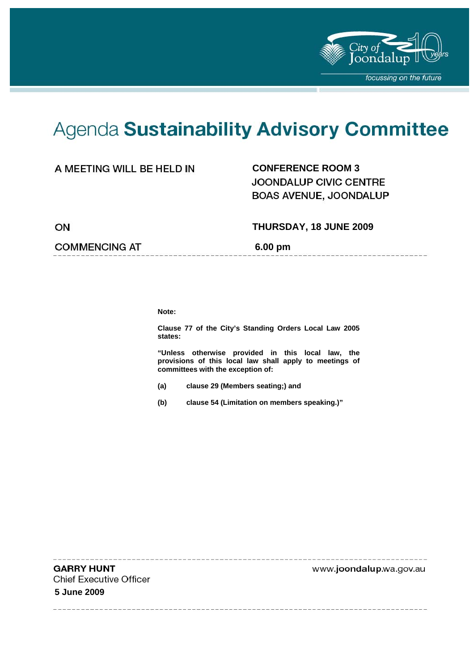

----------------

# Agenda Sustainability Advisory Committee

## **CONFERENCE ROOM 3**

JOONDALUP CIVIC CENTRE BOAS AVENUE, JOONDALUP

ON

## **COMMENCING AT 6.00 pm**

 **THURSDAY, 18 JUNE 2009** 

**Note:** 

**Clause 77 of the City's Standing Orders Local Law 2005 states:** 

**"Unless otherwise provided in this local law, the provisions of this local law shall apply to meetings of committees with the exception of:** 

- **(a) clause 29 (Members seating;) and**
- **(b) clause 54 (Limitation on members speaking.)"**

**GARRY HUNT Chief Executive Officer 5 June 2009** 

www.joondalup.wa.gov.au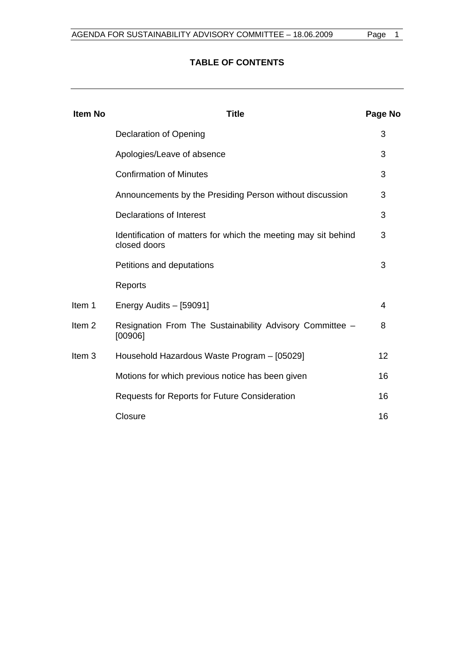# **TABLE OF CONTENTS**

| <b>Item No</b>    | Title                                                                          | Page No |
|-------------------|--------------------------------------------------------------------------------|---------|
|                   | Declaration of Opening                                                         | 3       |
|                   | Apologies/Leave of absence                                                     | 3       |
|                   | <b>Confirmation of Minutes</b>                                                 | 3       |
|                   | Announcements by the Presiding Person without discussion                       | 3       |
|                   | Declarations of Interest                                                       | 3       |
|                   | Identification of matters for which the meeting may sit behind<br>closed doors | 3       |
|                   | Petitions and deputations                                                      | 3       |
|                   | Reports                                                                        |         |
| Item 1            | Energy Audits - [59091]                                                        | 4       |
| Item <sub>2</sub> | Resignation From The Sustainability Advisory Committee -<br>[00906]            | 8       |
| Item 3            | Household Hazardous Waste Program - [05029]                                    | 12      |
|                   | Motions for which previous notice has been given                               | 16      |
|                   | Requests for Reports for Future Consideration                                  | 16      |
|                   | Closure                                                                        | 16      |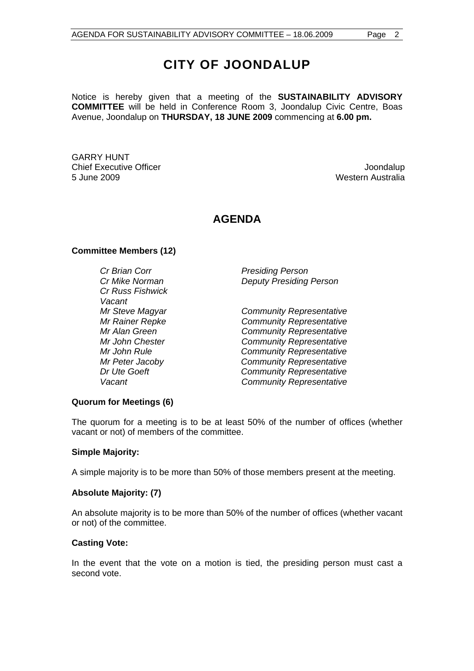Notice is hereby given that a meeting of the **SUSTAINABILITY ADVISORY COMMITTEE** will be held in Conference Room 3, Joondalup Civic Centre, Boas Avenue, Joondalup on **THURSDAY, 18 JUNE 2009** commencing at **6.00 pm.** 

GARRY HUNT Chief Executive Officer **Joondalup** 5 June 2009 Western Australia

# **AGENDA**

#### **Committee Members (12)**

*Cr Brian Corr Presiding Person Cr Russ Fishwick Vacant* 

*Cr Mike Norman Deputy Presiding Person* 

*Mr Steve Magyar Community Representative Mr Rainer Repke Community Representative Mr Alan Green Community Representative Mr John Chester Community Representative Mr John Rule Community Representative Mr Peter Jacoby Community Representative Dr Ute Goeft* Community Representative *Vacant Community Representative* 

#### **Quorum for Meetings (6)**

The quorum for a meeting is to be at least 50% of the number of offices (whether vacant or not) of members of the committee.

#### **Simple Majority:**

A simple majority is to be more than 50% of those members present at the meeting.

#### **Absolute Majority: (7)**

An absolute majority is to be more than 50% of the number of offices (whether vacant or not) of the committee.

#### **Casting Vote:**

In the event that the vote on a motion is tied, the presiding person must cast a second vote.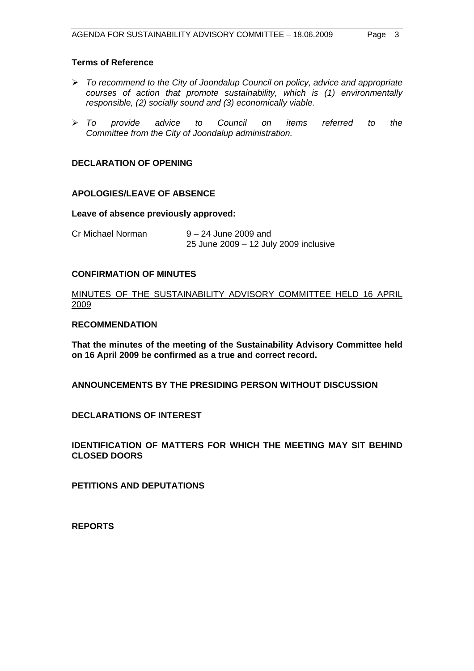### **Terms of Reference**

- ¾ *To recommend to the City of Joondalup Council on policy, advice and appropriate courses of action that promote sustainability, which is (1) environmentally responsible, (2) socially sound and (3) economically viable.*
- ¾ *To provide advice to Council on items referred to the Committee from the City of Joondalup administration.*

## **DECLARATION OF OPENING**

#### **APOLOGIES/LEAVE OF ABSENCE**

#### **Leave of absence previously approved:**

Cr Michael Norman 9 – 24 June 2009 and 25 June 2009 – 12 July 2009 inclusive

#### **CONFIRMATION OF MINUTES**

MINUTES OF THE SUSTAINABILITY ADVISORY COMMITTEE HELD 16 APRIL 2009

#### **RECOMMENDATION**

**That the minutes of the meeting of the Sustainability Advisory Committee held on 16 April 2009 be confirmed as a true and correct record.** 

**ANNOUNCEMENTS BY THE PRESIDING PERSON WITHOUT DISCUSSION** 

**DECLARATIONS OF INTEREST** 

**IDENTIFICATION OF MATTERS FOR WHICH THE MEETING MAY SIT BEHIND CLOSED DOORS** 

**PETITIONS AND DEPUTATIONS** 

**REPORTS**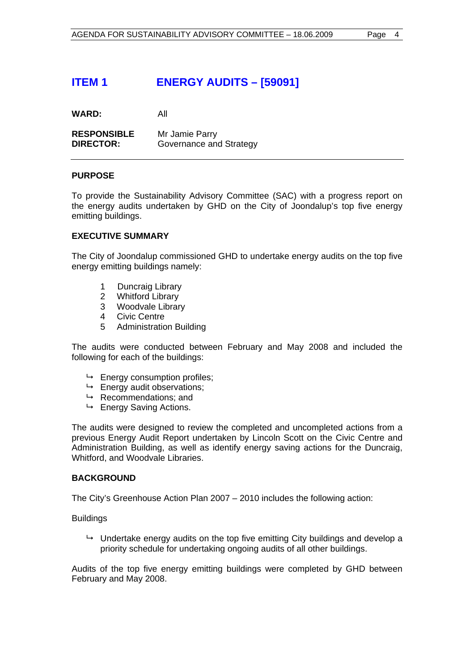# **ITEM 1 ENERGY AUDITS – [59091]**

**WARD:** All

**RESPONSIBLE** Mr Jamie Parry **DIRECTOR:** Governance and Strategy

#### **PURPOSE**

To provide the Sustainability Advisory Committee (SAC) with a progress report on the energy audits undertaken by GHD on the City of Joondalup's top five energy emitting buildings.

#### **EXECUTIVE SUMMARY**

The City of Joondalup commissioned GHD to undertake energy audits on the top five energy emitting buildings namely:

- 1 Duncraig Library
- 2 Whitford Library
- 3 Woodvale Library
- 4 Civic Centre
- 5 Administration Building

The audits were conducted between February and May 2008 and included the following for each of the buildings:

- $ightharpoonup$  Energy consumption profiles;
- $ightharpoonup$  Energy audit observations:
- $\rightarrow$  Recommendations; and
- $ightharpoonup$  Energy Saving Actions.

The audits were designed to review the completed and uncompleted actions from a previous Energy Audit Report undertaken by Lincoln Scott on the Civic Centre and Administration Building, as well as identify energy saving actions for the Duncraig, Whitford, and Woodvale Libraries.

#### **BACKGROUND**

The City's Greenhouse Action Plan 2007 – 2010 includes the following action:

Buildings

 $\rightarrow$  Undertake energy audits on the top five emitting City buildings and develop a priority schedule for undertaking ongoing audits of all other buildings.

Audits of the top five energy emitting buildings were completed by GHD between February and May 2008.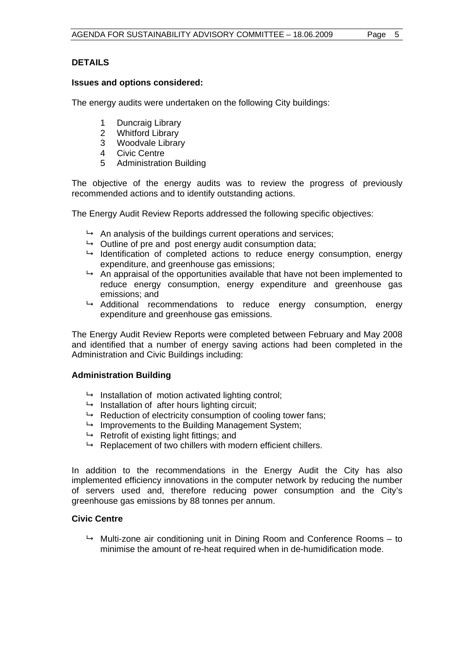## **DETAILS**

#### **Issues and options considered:**

The energy audits were undertaken on the following City buildings:

- 1 Duncraig Library
- 2 Whitford Library
- 3 Woodvale Library
- 4 Civic Centre
- 5 Administration Building

The objective of the energy audits was to review the progress of previously recommended actions and to identify outstanding actions.

The Energy Audit Review Reports addressed the following specific objectives:

- $\rightarrow$  An analysis of the buildings current operations and services:
- $\rightarrow$  Outline of pre and post energy audit consumption data:
- $\rightarrow$  Identification of completed actions to reduce energy consumption, energy expenditure, and greenhouse gas emissions;
- $\rightarrow$  An appraisal of the opportunities available that have not been implemented to reduce energy consumption, energy expenditure and greenhouse gas emissions; and
- $\rightarrow$  Additional recommendations to reduce energy consumption, energy expenditure and greenhouse gas emissions.

The Energy Audit Review Reports were completed between February and May 2008 and identified that a number of energy saving actions had been completed in the Administration and Civic Buildings including:

## **Administration Building**

- $\rightarrow$  Installation of motion activated lighting control;
- $\rightarrow$  Installation of after hours lighting circuit;
- $\rightarrow$  Reduction of electricity consumption of cooling tower fans;
- $\rightarrow$  Improvements to the Building Management System;
- $\rightarrow$  Retrofit of existing light fittings; and
- $\rightarrow$  Replacement of two chillers with modern efficient chillers.

In addition to the recommendations in the Energy Audit the City has also implemented efficiency innovations in the computer network by reducing the number of servers used and, therefore reducing power consumption and the City's greenhouse gas emissions by 88 tonnes per annum.

## **Civic Centre**

 $\rightarrow$  Multi-zone air conditioning unit in Dining Room and Conference Rooms – to minimise the amount of re-heat required when in de-humidification mode.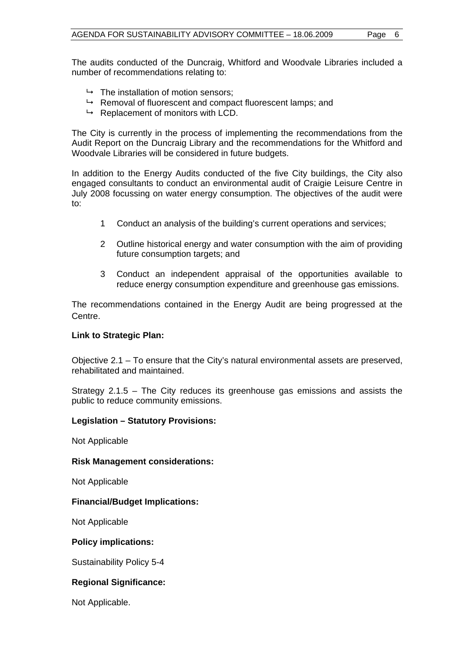The audits conducted of the Duncraig, Whitford and Woodvale Libraries included a number of recommendations relating to:

- $\rightarrow$  The installation of motion sensors:
- $\rightarrow$  Removal of fluorescent and compact fluorescent lamps; and
- $\rightarrow$  Replacement of monitors with LCD.

The City is currently in the process of implementing the recommendations from the Audit Report on the Duncraig Library and the recommendations for the Whitford and Woodvale Libraries will be considered in future budgets.

In addition to the Energy Audits conducted of the five City buildings, the City also engaged consultants to conduct an environmental audit of Craigie Leisure Centre in July 2008 focussing on water energy consumption. The objectives of the audit were to:

- 1 Conduct an analysis of the building's current operations and services;
- 2 Outline historical energy and water consumption with the aim of providing future consumption targets; and
- 3 Conduct an independent appraisal of the opportunities available to reduce energy consumption expenditure and greenhouse gas emissions.

The recommendations contained in the Energy Audit are being progressed at the Centre.

#### **Link to Strategic Plan:**

Objective 2.1 – To ensure that the City's natural environmental assets are preserved, rehabilitated and maintained.

Strategy 2.1.5 – The City reduces its greenhouse gas emissions and assists the public to reduce community emissions.

#### **Legislation – Statutory Provisions:**

Not Applicable

#### **Risk Management considerations:**

Not Applicable

#### **Financial/Budget Implications:**

Not Applicable

#### **Policy implications:**

Sustainability Policy 5-4

## **Regional Significance:**

Not Applicable.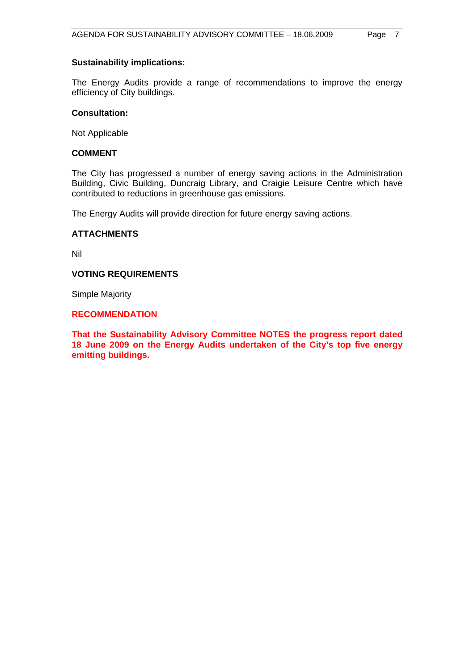#### **Sustainability implications:**

The Energy Audits provide a range of recommendations to improve the energy efficiency of City buildings.

#### **Consultation:**

Not Applicable

## **COMMENT**

The City has progressed a number of energy saving actions in the Administration Building, Civic Building, Duncraig Library, and Craigie Leisure Centre which have contributed to reductions in greenhouse gas emissions.

The Energy Audits will provide direction for future energy saving actions.

#### **ATTACHMENTS**

Nil

#### **VOTING REQUIREMENTS**

Simple Majority

## **RECOMMENDATION**

**That the Sustainability Advisory Committee NOTES the progress report dated 18 June 2009 on the Energy Audits undertaken of the City's top five energy emitting buildings.**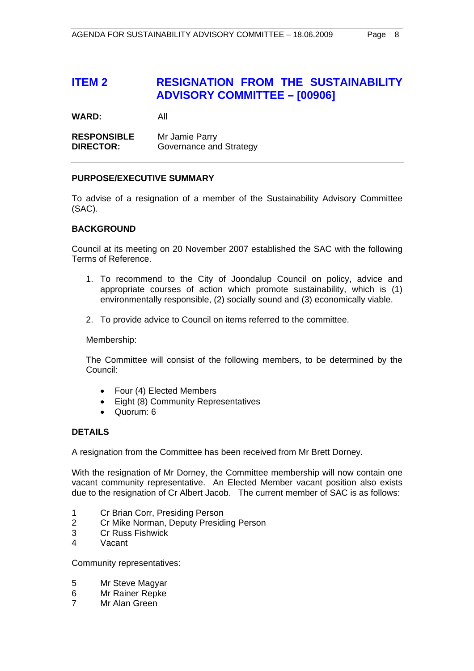# **ITEM 2 RESIGNATION FROM THE SUSTAINABILITY ADVISORY COMMITTEE – [00906]**

**WARD:** All

**RESPONSIBLE** Mr Jamie Parry **DIRECTOR:** Governance and Strategy

#### **PURPOSE/EXECUTIVE SUMMARY**

To advise of a resignation of a member of the Sustainability Advisory Committee (SAC).

#### **BACKGROUND**

Council at its meeting on 20 November 2007 established the SAC with the following Terms of Reference.

- 1. To recommend to the City of Joondalup Council on policy, advice and appropriate courses of action which promote sustainability, which is (1) environmentally responsible, (2) socially sound and (3) economically viable.
- 2. To provide advice to Council on items referred to the committee.

Membership:

The Committee will consist of the following members, to be determined by the Council:

- Four (4) Elected Members
- Eight (8) Community Representatives
- Quorum: 6

## **DETAILS**

A resignation from the Committee has been received from Mr Brett Dorney.

With the resignation of Mr Dorney, the Committee membership will now contain one vacant community representative. An Elected Member vacant position also exists due to the resignation of Cr Albert Jacob. The current member of SAC is as follows:

- 1 Cr Brian Corr, Presiding Person
- 2 Cr Mike Norman, Deputy Presiding Person
- 3 Cr Russ Fishwick
- 4 Vacant

Community representatives:

- 5 Mr Steve Magyar
- 6 Mr Rainer Repke
- 7 Mr Alan Green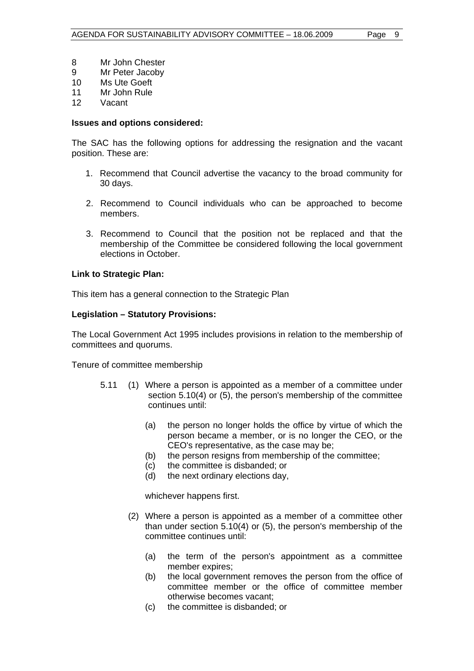- 8 Mr John Chester
- 9 Mr Peter Jacoby
- 10 Ms Ute Goeft
- 11 Mr John Rule
- 12 Vacant

#### **Issues and options considered:**

The SAC has the following options for addressing the resignation and the vacant position. These are:

- 1. Recommend that Council advertise the vacancy to the broad community for 30 days.
- 2. Recommend to Council individuals who can be approached to become members.
- 3. Recommend to Council that the position not be replaced and that the membership of the Committee be considered following the local government elections in October.

#### **Link to Strategic Plan:**

This item has a general connection to the Strategic Plan

#### **Legislation – Statutory Provisions:**

The Local Government Act 1995 includes provisions in relation to the membership of committees and quorums.

Tenure of committee membership

- 5.11 (1) Where a person is appointed as a member of a committee under section 5.10(4) or (5), the person's membership of the committee continues until:
	- (a) the person no longer holds the office by virtue of which the person became a member, or is no longer the CEO, or the CEO's representative, as the case may be;
	- (b) the person resigns from membership of the committee;
	- (c) the committee is disbanded; or
	- (d) the next ordinary elections day,

whichever happens first.

- (2) Where a person is appointed as a member of a committee other than under section 5.10(4) or (5), the person's membership of the committee continues until:
	- (a) the term of the person's appointment as a committee member expires;
	- (b) the local government removes the person from the office of committee member or the office of committee member otherwise becomes vacant;
	- (c) the committee is disbanded; or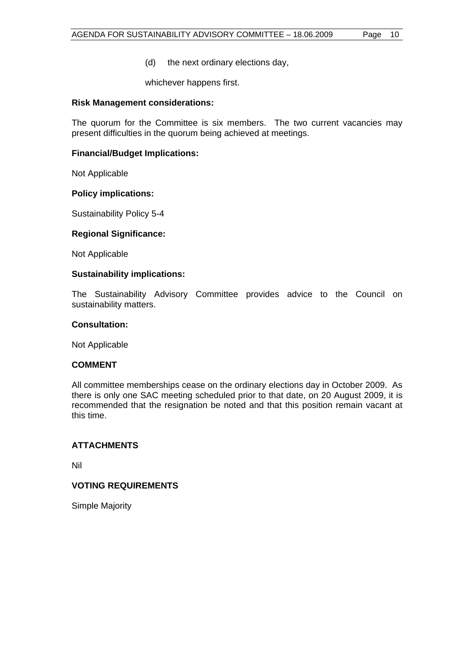(d) the next ordinary elections day,

whichever happens first.

#### **Risk Management considerations:**

The quorum for the Committee is six members. The two current vacancies may present difficulties in the quorum being achieved at meetings.

#### **Financial/Budget Implications:**

Not Applicable

#### **Policy implications:**

Sustainability Policy 5-4

#### **Regional Significance:**

Not Applicable

#### **Sustainability implications:**

The Sustainability Advisory Committee provides advice to the Council on sustainability matters.

#### **Consultation:**

Not Applicable

#### **COMMENT**

All committee memberships cease on the ordinary elections day in October 2009. As there is only one SAC meeting scheduled prior to that date, on 20 August 2009, it is recommended that the resignation be noted and that this position remain vacant at this time.

#### **ATTACHMENTS**

Nil

## **VOTING REQUIREMENTS**

Simple Majority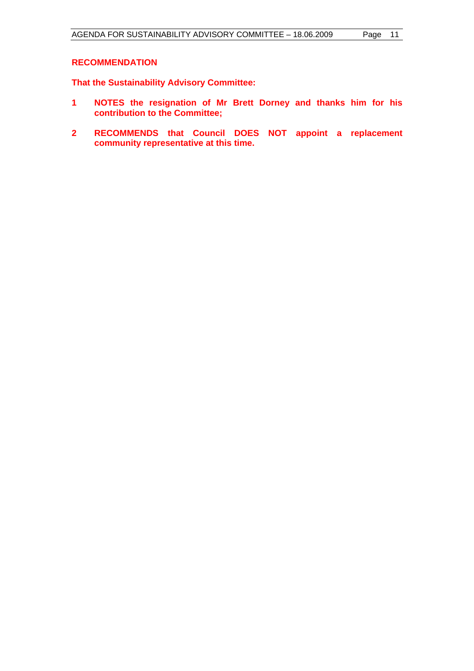## **RECOMMENDATION**

**That the Sustainability Advisory Committee:** 

- **1 NOTES the resignation of Mr Brett Dorney and thanks him for his contribution to the Committee;**
- **2 RECOMMENDS that Council DOES NOT appoint a replacement community representative at this time.**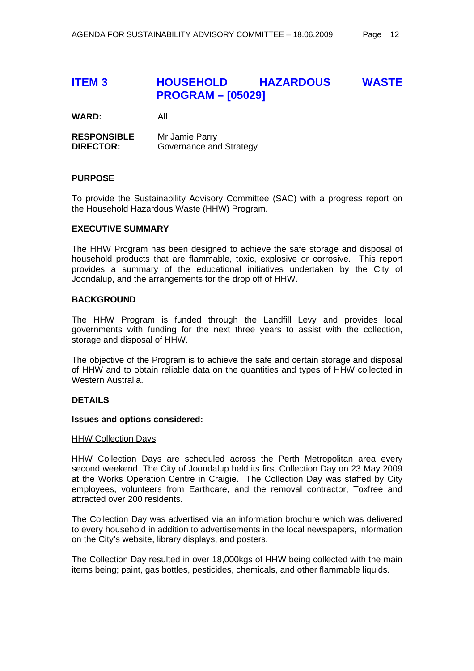# **ITEM 3 HOUSEHOLD HAZARDOUS WASTE PROGRAM – [05029]**

**WARD:** All

**RESPONSIBLE** Mr Jamie Parry **DIRECTOR:** Governance and Strategy

#### **PURPOSE**

To provide the Sustainability Advisory Committee (SAC) with a progress report on the Household Hazardous Waste (HHW) Program.

#### **EXECUTIVE SUMMARY**

The HHW Program has been designed to achieve the safe storage and disposal of household products that are flammable, toxic, explosive or corrosive. This report provides a summary of the educational initiatives undertaken by the City of Joondalup, and the arrangements for the drop off of HHW.

#### **BACKGROUND**

The HHW Program is funded through the Landfill Levy and provides local governments with funding for the next three years to assist with the collection, storage and disposal of HHW.

The objective of the Program is to achieve the safe and certain storage and disposal of HHW and to obtain reliable data on the quantities and types of HHW collected in Western Australia.

## **DETAILS**

#### **Issues and options considered:**

#### HHW Collection Days

HHW Collection Days are scheduled across the Perth Metropolitan area every second weekend. The City of Joondalup held its first Collection Day on 23 May 2009 at the Works Operation Centre in Craigie. The Collection Day was staffed by City employees, volunteers from Earthcare, and the removal contractor, Toxfree and attracted over 200 residents.

The Collection Day was advertised via an information brochure which was delivered to every household in addition to advertisements in the local newspapers, information on the City's website, library displays, and posters.

The Collection Day resulted in over 18,000kgs of HHW being collected with the main items being; paint, gas bottles, pesticides, chemicals, and other flammable liquids.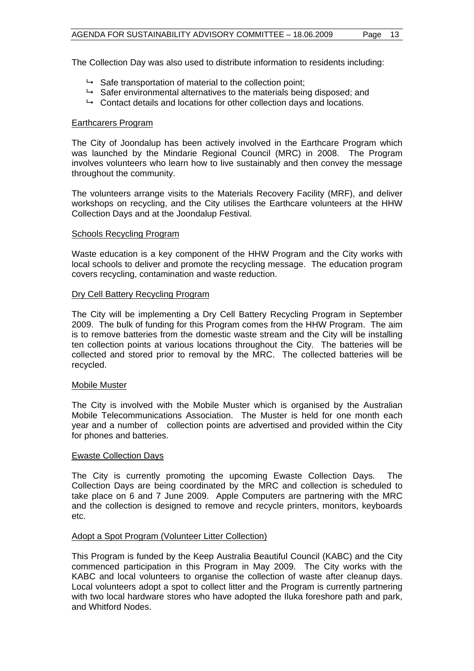The Collection Day was also used to distribute information to residents including:

- $\rightarrow$  Safe transportation of material to the collection point;
- $\rightarrow$  Safer environmental alternatives to the materials being disposed; and
- $\rightarrow$  Contact details and locations for other collection days and locations.

#### Earthcarers Program

The City of Joondalup has been actively involved in the Earthcare Program which was launched by the Mindarie Regional Council (MRC) in 2008. The Program involves volunteers who learn how to live sustainably and then convey the message throughout the community.

The volunteers arrange visits to the Materials Recovery Facility (MRF), and deliver workshops on recycling, and the City utilises the Earthcare volunteers at the HHW Collection Days and at the Joondalup Festival.

#### Schools Recycling Program

Waste education is a key component of the HHW Program and the City works with local schools to deliver and promote the recycling message. The education program covers recycling, contamination and waste reduction.

#### Dry Cell Battery Recycling Program

The City will be implementing a Dry Cell Battery Recycling Program in September 2009. The bulk of funding for this Program comes from the HHW Program. The aim is to remove batteries from the domestic waste stream and the City will be installing ten collection points at various locations throughout the City. The batteries will be collected and stored prior to removal by the MRC. The collected batteries will be recycled.

#### Mobile Muster

The City is involved with the Mobile Muster which is organised by the Australian Mobile Telecommunications Association. The Muster is held for one month each year and a number of collection points are advertised and provided within the City for phones and batteries.

#### Ewaste Collection Days

The City is currently promoting the upcoming Ewaste Collection Days. The Collection Days are being coordinated by the MRC and collection is scheduled to take place on 6 and 7 June 2009. Apple Computers are partnering with the MRC and the collection is designed to remove and recycle printers, monitors, keyboards etc.

#### Adopt a Spot Program (Volunteer Litter Collection)

This Program is funded by the Keep Australia Beautiful Council (KABC) and the City commenced participation in this Program in May 2009. The City works with the KABC and local volunteers to organise the collection of waste after cleanup days. Local volunteers adopt a spot to collect litter and the Program is currently partnering with two local hardware stores who have adopted the Iluka foreshore path and park, and Whitford Nodes.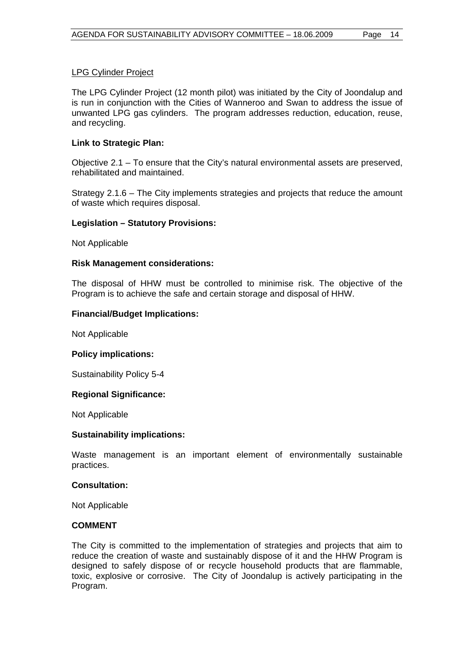#### LPG Cylinder Project

The LPG Cylinder Project (12 month pilot) was initiated by the City of Joondalup and is run in conjunction with the Cities of Wanneroo and Swan to address the issue of unwanted LPG gas cylinders. The program addresses reduction, education, reuse, and recycling.

#### **Link to Strategic Plan:**

Objective 2.1 – To ensure that the City's natural environmental assets are preserved, rehabilitated and maintained.

Strategy 2.1.6 – The City implements strategies and projects that reduce the amount of waste which requires disposal.

#### **Legislation – Statutory Provisions:**

Not Applicable

#### **Risk Management considerations:**

The disposal of HHW must be controlled to minimise risk. The objective of the Program is to achieve the safe and certain storage and disposal of HHW.

#### **Financial/Budget Implications:**

Not Applicable

#### **Policy implications:**

Sustainability Policy 5-4

#### **Regional Significance:**

Not Applicable

#### **Sustainability implications:**

Waste management is an important element of environmentally sustainable practices.

#### **Consultation:**

Not Applicable

#### **COMMENT**

The City is committed to the implementation of strategies and projects that aim to reduce the creation of waste and sustainably dispose of it and the HHW Program is designed to safely dispose of or recycle household products that are flammable, toxic, explosive or corrosive. The City of Joondalup is actively participating in the Program.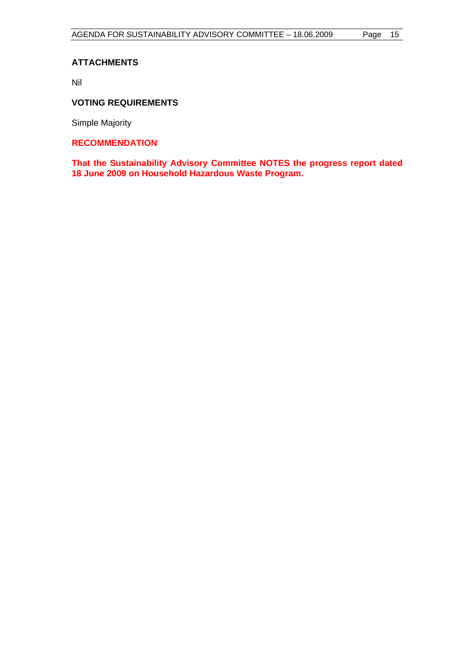## **ATTACHMENTS**

Nil

## **VOTING REQUIREMENTS**

Simple Majority

## **RECOMMENDATION**

**That the Sustainability Advisory Committee NOTES the progress report dated 18 June 2009 on Household Hazardous Waste Program.**